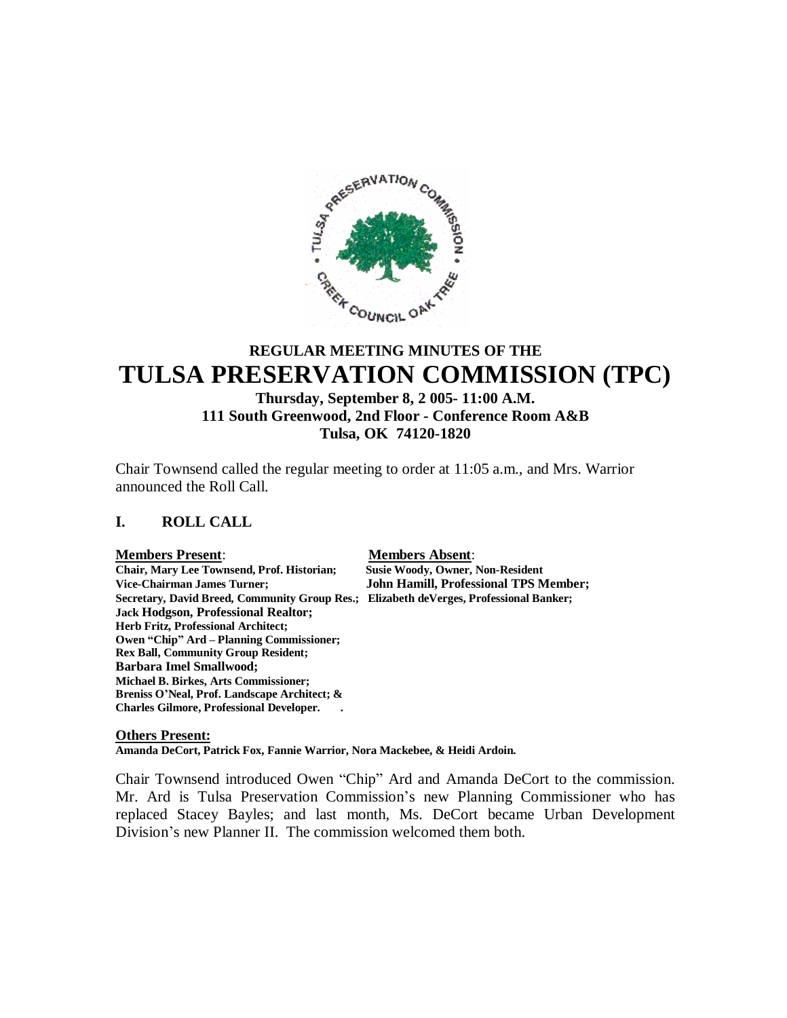

# **REGULAR MEETING MINUTES OF THE TULSA PRESERVATION COMMISSION (TPC)**

## **Thursday, September 8, 2 005- 11:00 A.M. 111 South Greenwood, 2nd Floor - Conference Room A&B Tulsa, OK 74120-1820**

Chair Townsend called the regular meeting to order at 11:05 a.m., and Mrs. Warrior announced the Roll Call.

#### **I. ROLL CALL**

#### **Members Present**: **Members Absent**:

**Chair, Mary Lee Townsend, Prof. Historian; Susie Woody, Owner, Non-Resident Vice-Chairman James Turner; John Hamill, Professional TPS Member; Secretary, David Breed, Community Group Res.; Elizabeth deVerges, Professional Banker; Jack Hodgson, Professional Realtor; Herb Fritz, Professional Architect; Owen "Chip" Ard – Planning Commissioner; Rex Ball, Community Group Resident; Barbara Imel Smallwood; Michael B. Birkes, Arts Commissioner; Breniss O'Neal, Prof. Landscape Architect; & Charles Gilmore, Professional Developer. .**

#### **Others Present:**

**Amanda DeCort, Patrick Fox, Fannie Warrior, Nora Mackebee, & Heidi Ardoin.**

Chair Townsend introduced Owen "Chip" Ard and Amanda DeCort to the commission. Mr. Ard is Tulsa Preservation Commission's new Planning Commissioner who has replaced Stacey Bayles; and last month, Ms. DeCort became Urban Development Division's new Planner II. The commission welcomed them both.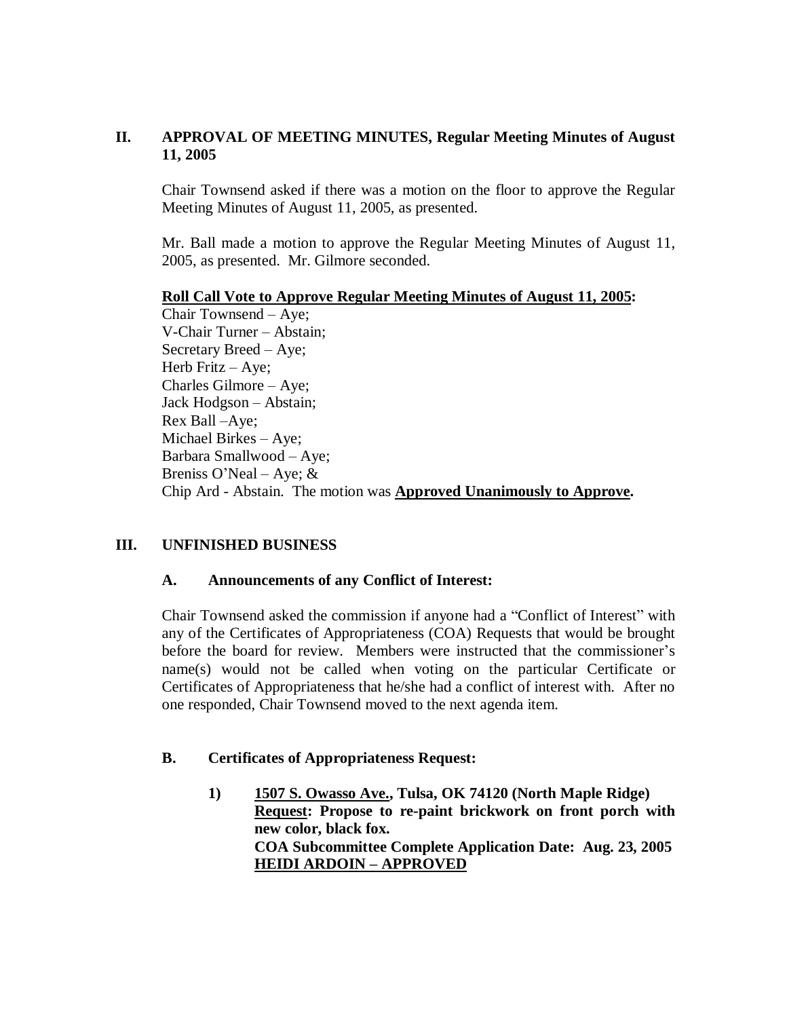## **II. APPROVAL OF MEETING MINUTES, Regular Meeting Minutes of August 11, 2005**

Chair Townsend asked if there was a motion on the floor to approve the Regular Meeting Minutes of August 11, 2005, as presented.

Mr. Ball made a motion to approve the Regular Meeting Minutes of August 11, 2005, as presented. Mr. Gilmore seconded.

## **Roll Call Vote to Approve Regular Meeting Minutes of August 11, 2005:**

Chair Townsend – Aye; V-Chair Turner – Abstain; Secretary Breed – Aye; Herb Fritz – Aye; Charles Gilmore – Aye; Jack Hodgson – Abstain; Rex Ball –Aye; Michael Birkes – Aye; Barbara Smallwood – Aye; Breniss O'Neal – Aye;  $&$ Chip Ard - Abstain. The motion was **Approved Unanimously to Approve.**

## **III. UNFINISHED BUSINESS**

## **A. Announcements of any Conflict of Interest:**

Chair Townsend asked the commission if anyone had a "Conflict of Interest" with any of the Certificates of Appropriateness (COA) Requests that would be brought before the board for review. Members were instructed that the commissioner's name(s) would not be called when voting on the particular Certificate or Certificates of Appropriateness that he/she had a conflict of interest with. After no one responded, Chair Townsend moved to the next agenda item.

## **B. Certificates of Appropriateness Request:**

**1) 1507 S. Owasso Ave., Tulsa, OK 74120 (North Maple Ridge) Request: Propose to re-paint brickwork on front porch with new color, black fox. COA Subcommittee Complete Application Date: Aug. 23, 2005 HEIDI ARDOIN – APPROVED**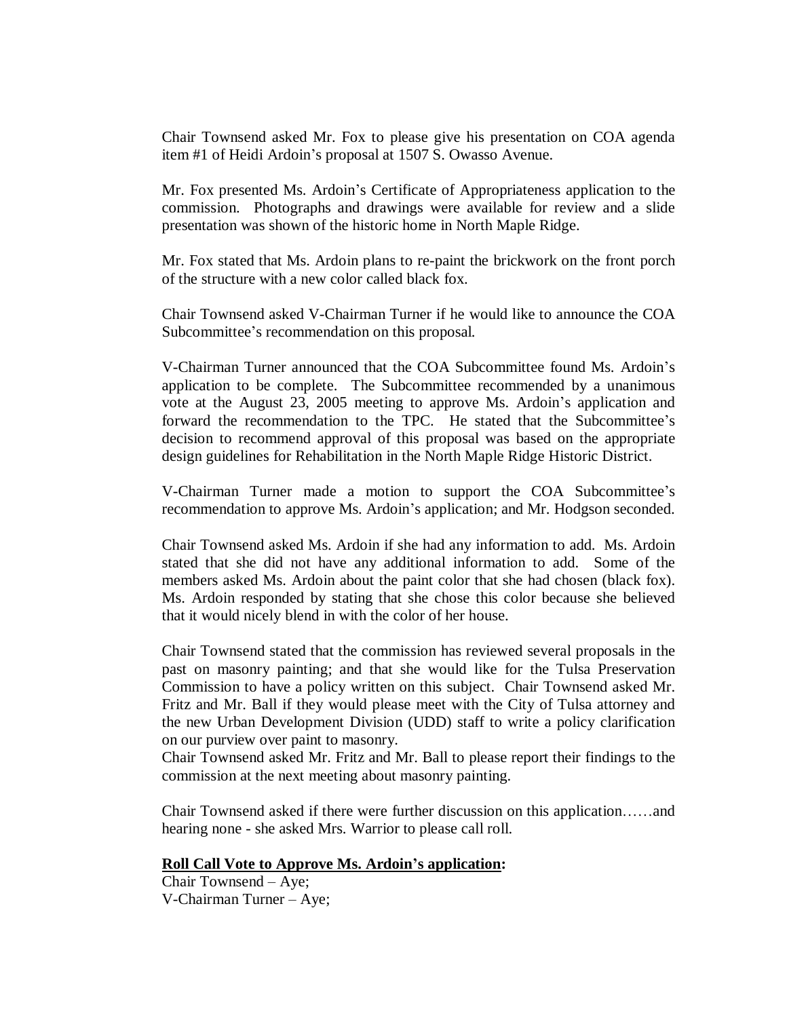Chair Townsend asked Mr. Fox to please give his presentation on COA agenda item #1 of Heidi Ardoin's proposal at 1507 S. Owasso Avenue.

Mr. Fox presented Ms. Ardoin's Certificate of Appropriateness application to the commission. Photographs and drawings were available for review and a slide presentation was shown of the historic home in North Maple Ridge.

Mr. Fox stated that Ms. Ardoin plans to re-paint the brickwork on the front porch of the structure with a new color called black fox.

Chair Townsend asked V-Chairman Turner if he would like to announce the COA Subcommittee's recommendation on this proposal.

V-Chairman Turner announced that the COA Subcommittee found Ms. Ardoin's application to be complete. The Subcommittee recommended by a unanimous vote at the August 23, 2005 meeting to approve Ms. Ardoin's application and forward the recommendation to the TPC. He stated that the Subcommittee's decision to recommend approval of this proposal was based on the appropriate design guidelines for Rehabilitation in the North Maple Ridge Historic District.

V-Chairman Turner made a motion to support the COA Subcommittee's recommendation to approve Ms. Ardoin's application; and Mr. Hodgson seconded.

Chair Townsend asked Ms. Ardoin if she had any information to add. Ms. Ardoin stated that she did not have any additional information to add. Some of the members asked Ms. Ardoin about the paint color that she had chosen (black fox). Ms. Ardoin responded by stating that she chose this color because she believed that it would nicely blend in with the color of her house.

Chair Townsend stated that the commission has reviewed several proposals in the past on masonry painting; and that she would like for the Tulsa Preservation Commission to have a policy written on this subject. Chair Townsend asked Mr. Fritz and Mr. Ball if they would please meet with the City of Tulsa attorney and the new Urban Development Division (UDD) staff to write a policy clarification on our purview over paint to masonry.

Chair Townsend asked Mr. Fritz and Mr. Ball to please report their findings to the commission at the next meeting about masonry painting.

Chair Townsend asked if there were further discussion on this application……and hearing none - she asked Mrs. Warrior to please call roll.

#### **Roll Call Vote to Approve Ms. Ardoin's application:**

Chair Townsend – Aye; V-Chairman Turner – Aye;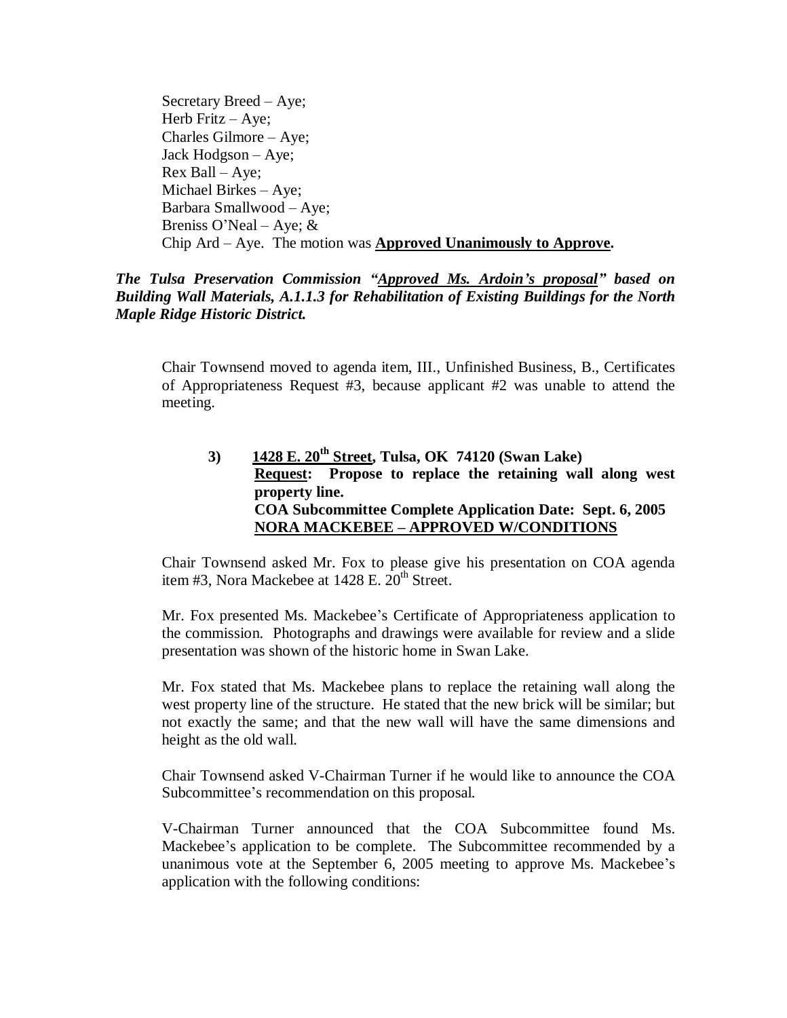Secretary Breed – Aye; Herb Fritz – Aye; Charles Gilmore – Aye; Jack Hodgson – Aye; Rex Ball – Aye; Michael Birkes – Aye; Barbara Smallwood – Aye; Breniss O'Neal – Aye; & Chip Ard – Aye. The motion was **Approved Unanimously to Approve.**

*The Tulsa Preservation Commission "Approved Ms. Ardoin's proposal" based on Building Wall Materials, A.1.1.3 for Rehabilitation of Existing Buildings for the North Maple Ridge Historic District.*

Chair Townsend moved to agenda item, III., Unfinished Business, B., Certificates of Appropriateness Request #3, because applicant #2 was unable to attend the meeting.

## **3) 1428 E. 20th Street, Tulsa, OK 74120 (Swan Lake) Request: Propose to replace the retaining wall along west property line. COA Subcommittee Complete Application Date: Sept. 6, 2005 NORA MACKEBEE – APPROVED W/CONDITIONS**

Chair Townsend asked Mr. Fox to please give his presentation on COA agenda item #3, Nora Mackebee at  $1428$  E.  $20<sup>th</sup>$  Street.

Mr. Fox presented Ms. Mackebee's Certificate of Appropriateness application to the commission. Photographs and drawings were available for review and a slide presentation was shown of the historic home in Swan Lake.

Mr. Fox stated that Ms. Mackebee plans to replace the retaining wall along the west property line of the structure. He stated that the new brick will be similar; but not exactly the same; and that the new wall will have the same dimensions and height as the old wall.

Chair Townsend asked V-Chairman Turner if he would like to announce the COA Subcommittee's recommendation on this proposal.

V-Chairman Turner announced that the COA Subcommittee found Ms. Mackebee's application to be complete. The Subcommittee recommended by a unanimous vote at the September 6, 2005 meeting to approve Ms. Mackebee's application with the following conditions: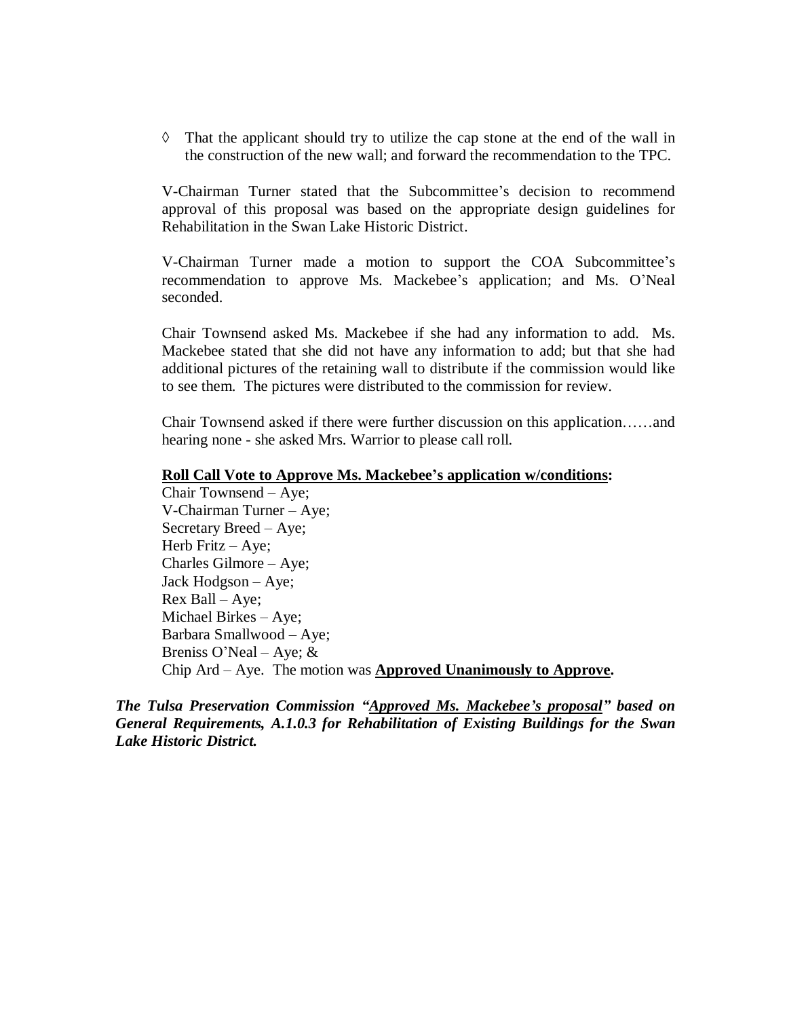$\Diamond$  That the applicant should try to utilize the cap stone at the end of the wall in the construction of the new wall; and forward the recommendation to the TPC.

V-Chairman Turner stated that the Subcommittee's decision to recommend approval of this proposal was based on the appropriate design guidelines for Rehabilitation in the Swan Lake Historic District.

V-Chairman Turner made a motion to support the COA Subcommittee's recommendation to approve Ms. Mackebee's application; and Ms. O'Neal seconded.

Chair Townsend asked Ms. Mackebee if she had any information to add. Ms. Mackebee stated that she did not have any information to add; but that she had additional pictures of the retaining wall to distribute if the commission would like to see them. The pictures were distributed to the commission for review.

Chair Townsend asked if there were further discussion on this application……and hearing none - she asked Mrs. Warrior to please call roll.

#### **Roll Call Vote to Approve Ms. Mackebee's application w/conditions:**

Chair Townsend – Aye; V-Chairman Turner – Aye; Secretary Breed – Aye; Herb Fritz – Aye; Charles Gilmore – Aye; Jack Hodgson – Aye; Rex Ball – Aye; Michael Birkes – Aye; Barbara Smallwood – Aye; Breniss O'Neal – Aye;  $&$ Chip Ard – Aye. The motion was **Approved Unanimously to Approve.**

*The Tulsa Preservation Commission "Approved Ms. Mackebee's proposal" based on General Requirements, A.1.0.3 for Rehabilitation of Existing Buildings for the Swan Lake Historic District.*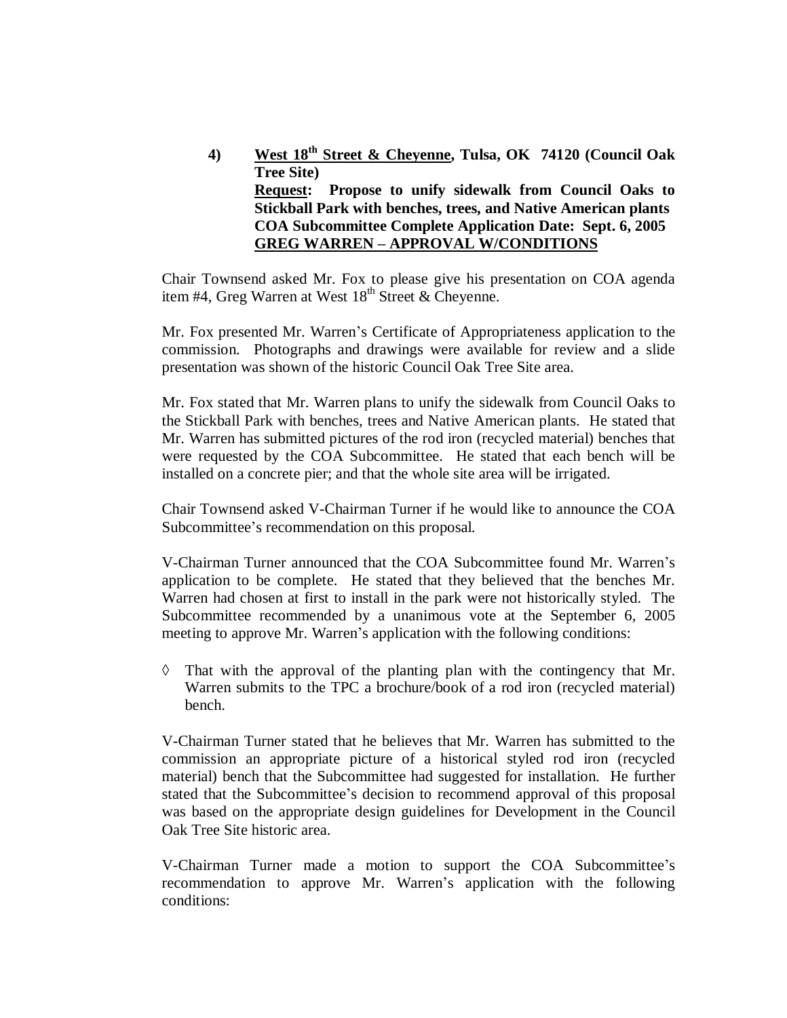**4) West 18th Street & Cheyenne, Tulsa, OK 74120 (Council Oak Tree Site) Request: Propose to unify sidewalk from Council Oaks to Stickball Park with benches, trees, and Native American plants COA Subcommittee Complete Application Date: Sept. 6, 2005 GREG WARREN – APPROVAL W/CONDITIONS**

Chair Townsend asked Mr. Fox to please give his presentation on COA agenda item #4, Greg Warren at West  $18<sup>th</sup>$  Street & Cheyenne.

Mr. Fox presented Mr. Warren's Certificate of Appropriateness application to the commission. Photographs and drawings were available for review and a slide presentation was shown of the historic Council Oak Tree Site area.

Mr. Fox stated that Mr. Warren plans to unify the sidewalk from Council Oaks to the Stickball Park with benches, trees and Native American plants. He stated that Mr. Warren has submitted pictures of the rod iron (recycled material) benches that were requested by the COA Subcommittee. He stated that each bench will be installed on a concrete pier; and that the whole site area will be irrigated.

Chair Townsend asked V-Chairman Turner if he would like to announce the COA Subcommittee's recommendation on this proposal.

V-Chairman Turner announced that the COA Subcommittee found Mr. Warren's application to be complete. He stated that they believed that the benches Mr. Warren had chosen at first to install in the park were not historically styled. The Subcommittee recommended by a unanimous vote at the September 6, 2005 meeting to approve Mr. Warren's application with the following conditions:

 $\Diamond$  That with the approval of the planting plan with the contingency that Mr. Warren submits to the TPC a brochure/book of a rod iron (recycled material) bench.

V-Chairman Turner stated that he believes that Mr. Warren has submitted to the commission an appropriate picture of a historical styled rod iron (recycled material) bench that the Subcommittee had suggested for installation. He further stated that the Subcommittee's decision to recommend approval of this proposal was based on the appropriate design guidelines for Development in the Council Oak Tree Site historic area.

V-Chairman Turner made a motion to support the COA Subcommittee's recommendation to approve Mr. Warren's application with the following conditions: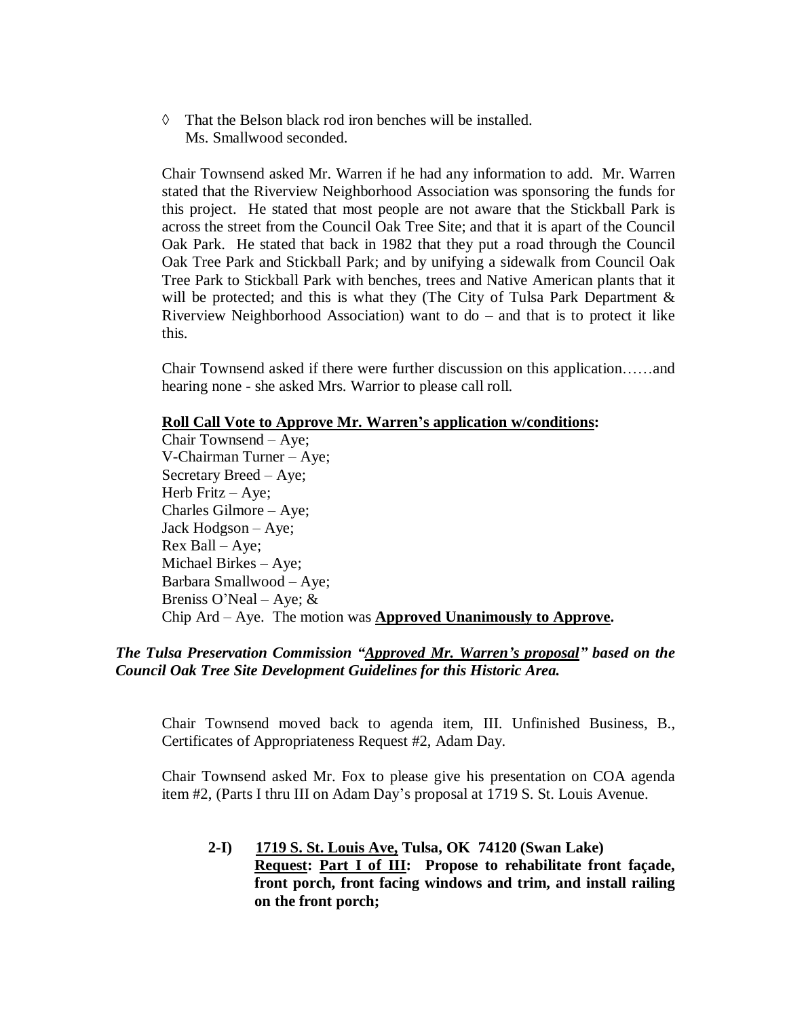$\Diamond$  That the Belson black rod iron benches will be installed. Ms. Smallwood seconded.

Chair Townsend asked Mr. Warren if he had any information to add. Mr. Warren stated that the Riverview Neighborhood Association was sponsoring the funds for this project. He stated that most people are not aware that the Stickball Park is across the street from the Council Oak Tree Site; and that it is apart of the Council Oak Park. He stated that back in 1982 that they put a road through the Council Oak Tree Park and Stickball Park; and by unifying a sidewalk from Council Oak Tree Park to Stickball Park with benches, trees and Native American plants that it will be protected; and this is what they (The City of Tulsa Park Department  $\&$ Riverview Neighborhood Association) want to  $d\sigma$  – and that is to protect it like this.

Chair Townsend asked if there were further discussion on this application……and hearing none - she asked Mrs. Warrior to please call roll.

#### **Roll Call Vote to Approve Mr. Warren's application w/conditions:**

Chair Townsend – Aye; V-Chairman Turner – Aye; Secretary Breed – Aye; Herb Fritz – Aye; Charles Gilmore – Aye; Jack Hodgson – Aye; Rex Ball – Aye; Michael Birkes – Aye; Barbara Smallwood – Aye; Breniss O'Neal – Aye; & Chip Ard – Aye. The motion was **Approved Unanimously to Approve.**

#### *The Tulsa Preservation Commission "Approved Mr. Warren's proposal" based on the Council Oak Tree Site Development Guidelines for this Historic Area.*

Chair Townsend moved back to agenda item, III. Unfinished Business, B., Certificates of Appropriateness Request #2, Adam Day.

Chair Townsend asked Mr. Fox to please give his presentation on COA agenda item #2, (Parts I thru III on Adam Day's proposal at 1719 S. St. Louis Avenue.

**2-I) 1719 S. St. Louis Ave, Tulsa, OK 74120 (Swan Lake) Request: Part I of III: Propose to rehabilitate front façade, front porch, front facing windows and trim, and install railing on the front porch;**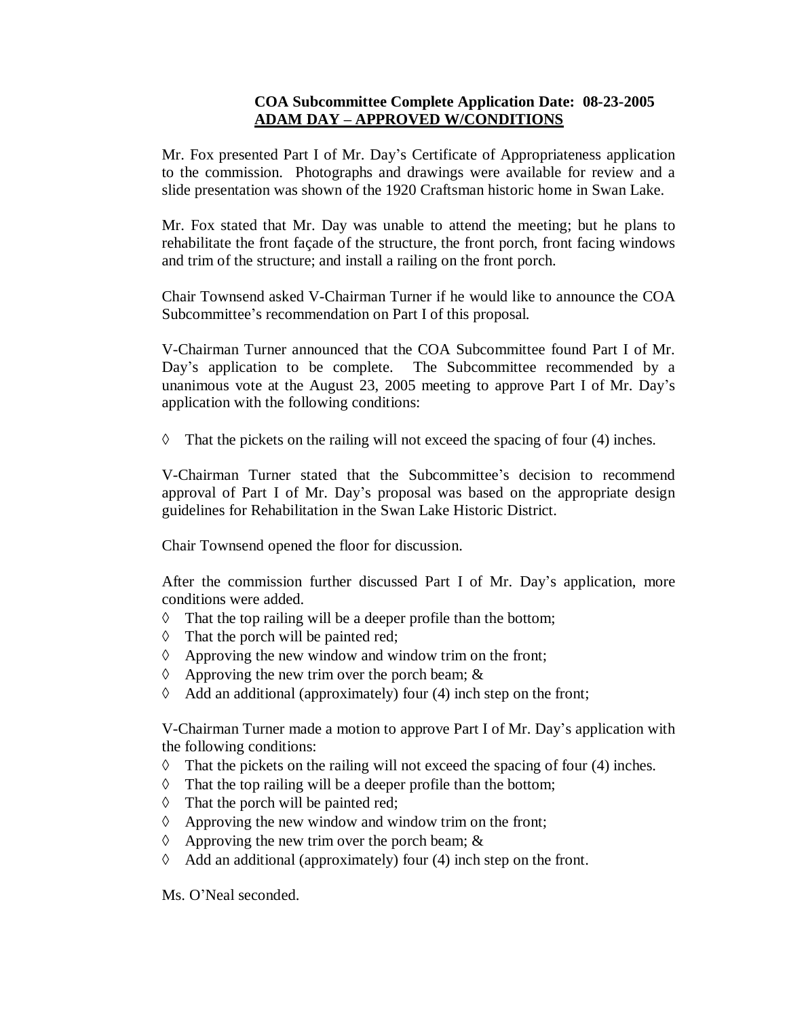## **COA Subcommittee Complete Application Date: 08-23-2005 ADAM DAY – APPROVED W/CONDITIONS**

Mr. Fox presented Part I of Mr. Day's Certificate of Appropriateness application to the commission. Photographs and drawings were available for review and a slide presentation was shown of the 1920 Craftsman historic home in Swan Lake.

Mr. Fox stated that Mr. Day was unable to attend the meeting; but he plans to rehabilitate the front façade of the structure, the front porch, front facing windows and trim of the structure; and install a railing on the front porch.

Chair Townsend asked V-Chairman Turner if he would like to announce the COA Subcommittee's recommendation on Part I of this proposal.

V-Chairman Turner announced that the COA Subcommittee found Part I of Mr. Day's application to be complete. The Subcommittee recommended by a unanimous vote at the August 23, 2005 meeting to approve Part I of Mr. Day's application with the following conditions:

 $\Diamond$  That the pickets on the railing will not exceed the spacing of four (4) inches.

V-Chairman Turner stated that the Subcommittee's decision to recommend approval of Part I of Mr. Day's proposal was based on the appropriate design guidelines for Rehabilitation in the Swan Lake Historic District.

Chair Townsend opened the floor for discussion.

After the commission further discussed Part I of Mr. Day's application, more conditions were added.

- $\Diamond$  That the top railing will be a deeper profile than the bottom;
- $\Diamond$  That the porch will be painted red;
- $\Diamond$  Approving the new window and window trim on the front;
- $\Diamond$  Approving the new trim over the porch beam; &
- $\Diamond$  Add an additional (approximately) four (4) inch step on the front;

V-Chairman Turner made a motion to approve Part I of Mr. Day's application with the following conditions:

- $\Diamond$  That the pickets on the railing will not exceed the spacing of four (4) inches.
- $\Diamond$  That the top railing will be a deeper profile than the bottom;
- $\Diamond$  That the porch will be painted red;
- $\Diamond$  Approving the new window and window trim on the front;
- $\Diamond$  Approving the new trim over the porch beam; &
- $\Diamond$  Add an additional (approximately) four (4) inch step on the front.

Ms. O'Neal seconded.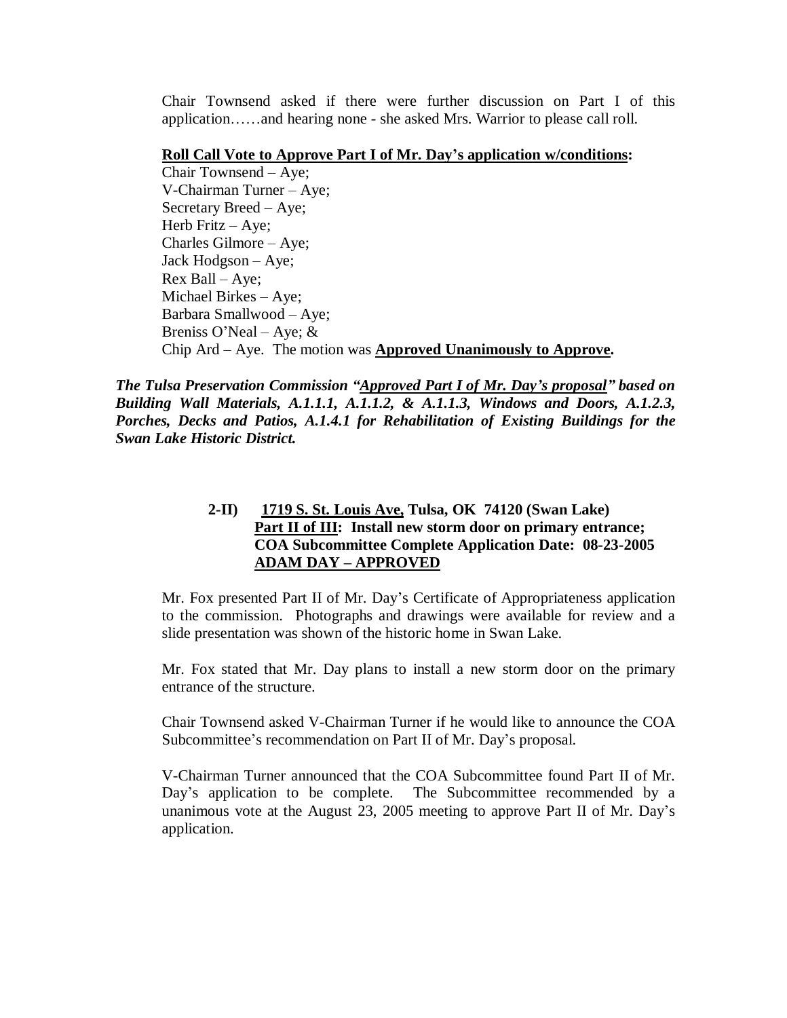Chair Townsend asked if there were further discussion on Part I of this application……and hearing none - she asked Mrs. Warrior to please call roll.

#### **Roll Call Vote to Approve Part I of Mr. Day's application w/conditions:**

Chair Townsend – Aye; V-Chairman Turner – Aye; Secretary Breed – Aye; Herb Fritz – Aye; Charles Gilmore – Aye; Jack Hodgson – Aye; Rex Ball – Aye; Michael Birkes – Aye; Barbara Smallwood – Aye; Breniss O'Neal – Aye;  $&$ Chip Ard – Aye. The motion was **Approved Unanimously to Approve.**

*The Tulsa Preservation Commission "Approved Part I of Mr. Day's proposal" based on Building Wall Materials, A.1.1.1, A.1.1.2, & A.1.1.3, Windows and Doors, A.1.2.3, Porches, Decks and Patios, A.1.4.1 for Rehabilitation of Existing Buildings for the Swan Lake Historic District.*

## **2-II) 1719 S. St. Louis Ave, Tulsa, OK 74120 (Swan Lake) Part II of III: Install new storm door on primary entrance; COA Subcommittee Complete Application Date: 08-23-2005 ADAM DAY –APPROVED**

Mr. Fox presented Part II of Mr. Day's Certificate of Appropriateness application to the commission. Photographs and drawings were available for review and a slide presentation was shown of the historic home in Swan Lake.

Mr. Fox stated that Mr. Day plans to install a new storm door on the primary entrance of the structure.

Chair Townsend asked V-Chairman Turner if he would like to announce the COA Subcommittee's recommendation on Part II of Mr. Day's proposal.

V-Chairman Turner announced that the COA Subcommittee found Part II of Mr. Day's application to be complete. The Subcommittee recommended by a unanimous vote at the August 23, 2005 meeting to approve Part II of Mr. Day's application.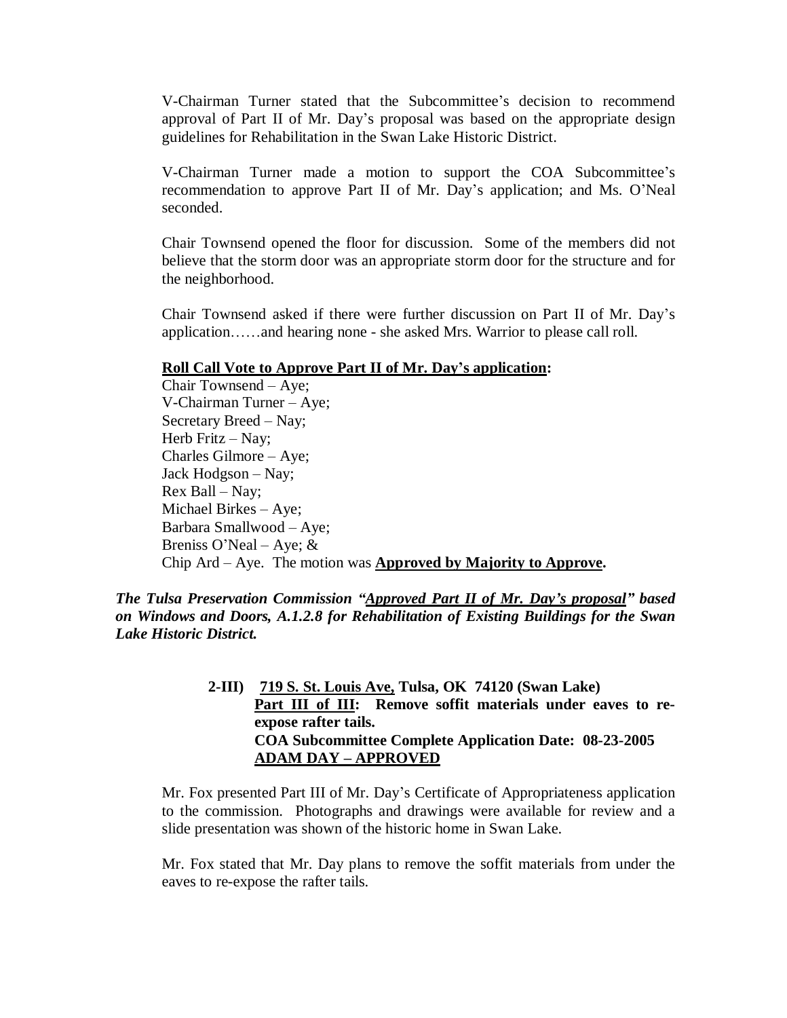V-Chairman Turner stated that the Subcommittee's decision to recommend approval of Part II of Mr. Day's proposal was based on the appropriate design guidelines for Rehabilitation in the Swan Lake Historic District.

V-Chairman Turner made a motion to support the COA Subcommittee's recommendation to approve Part II of Mr. Day's application; and Ms. O'Neal seconded.

Chair Townsend opened the floor for discussion. Some of the members did not believe that the storm door was an appropriate storm door for the structure and for the neighborhood.

Chair Townsend asked if there were further discussion on Part II of Mr. Day's application……and hearing none - she asked Mrs. Warrior to please call roll.

#### **Roll Call Vote to Approve Part II of Mr. Day's application:**

Chair Townsend – Aye; V-Chairman Turner – Aye; Secretary Breed –Nay; Herb Fritz – Nay; Charles Gilmore – Aye; Jack Hodgson - Nay; Rex Ball – Nay; Michael Birkes – Aye; Barbara Smallwood – Aye; Breniss O'Neal – Aye; & Chip Ard – Aye. The motion was **Approved by Majority to Approve.**

*The Tulsa Preservation Commission "Approved Part II of Mr. Day's proposal" based on Windows and Doors, A.1.2.8 for Rehabilitation of Existing Buildings for the Swan Lake Historic District.*

> **2-III) 719 S. St. Louis Ave, Tulsa, OK 74120 (Swan Lake)** Part III of III: Remove soffit materials under eaves to re**expose rafter tails. COA Subcommittee Complete Application Date: 08-23-2005 ADAM DAY –APPROVED**

Mr. Fox presented Part III of Mr. Day's Certificate of Appropriateness application to the commission. Photographs and drawings were available for review and a slide presentation was shown of the historic home in Swan Lake.

Mr. Fox stated that Mr. Day plans to remove the soffit materials from under the eaves to re-expose the rafter tails.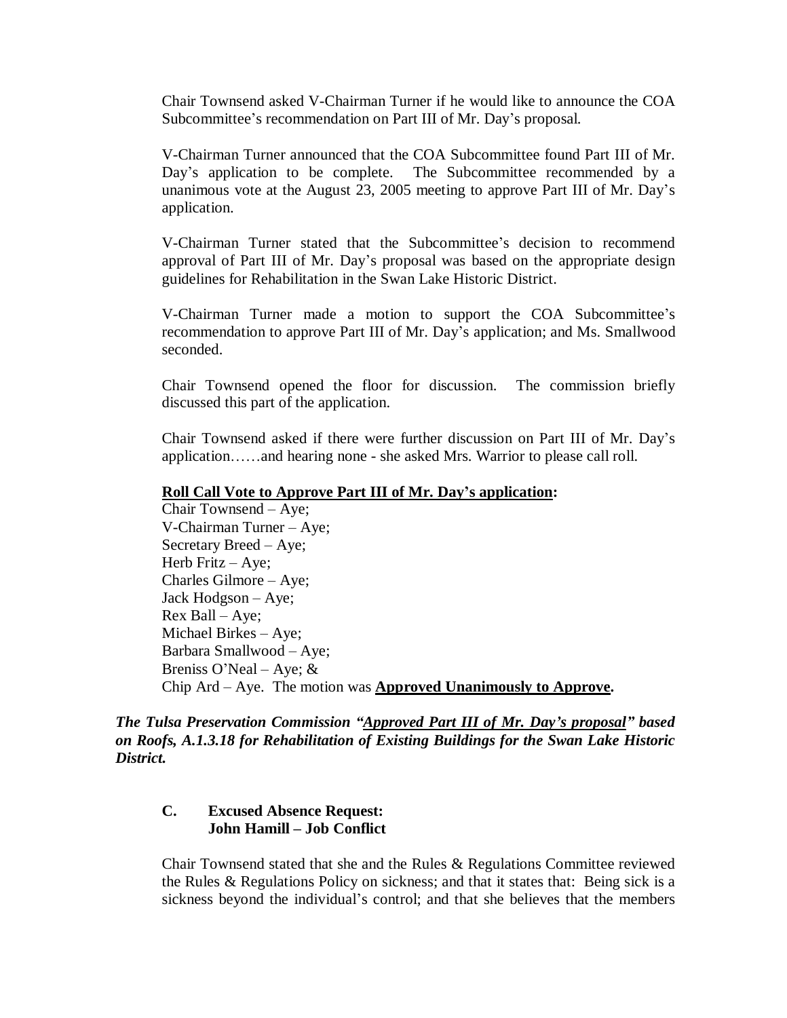Chair Townsend asked V-Chairman Turner if he would like to announce the COA Subcommittee's recommendation on Part III of Mr. Day's proposal.

V-Chairman Turner announced that the COA Subcommittee found Part III of Mr. Day's application to be complete. The Subcommittee recommended by a unanimous vote at the August 23, 2005 meeting to approve Part III of Mr. Day's application.

V-Chairman Turner stated that the Subcommittee's decision to recommend approval of Part III of Mr. Day's proposal was based on the appropriate design guidelines for Rehabilitation in the Swan Lake Historic District.

V-Chairman Turner made a motion to support the COA Subcommittee's recommendation to approve Part III of Mr. Day's application; and Ms. Smallwood seconded.

Chair Townsend opened the floor for discussion. The commission briefly discussed this part of the application.

Chair Townsend asked if there were further discussion on Part III of Mr. Day's application……and hearing none - she asked Mrs. Warrior to please call roll.

#### **Roll Call Vote to Approve Part III of Mr. Day's application:**

Chair Townsend – Aye; V-Chairman Turner – Aye; Secretary Breed – Aye; Herb Fritz – Aye; Charles Gilmore – Aye; Jack Hodgson – Aye; Rex Ball – Aye; Michael Birkes – Aye; Barbara Smallwood – Aye; Breniss O'Neal – Aye;  $&$ Chip Ard – Aye. The motion was **Approved Unanimously to Approve.**

*The Tulsa Preservation Commission "Approved Part III of Mr. Day's proposal" based on Roofs, A.1.3.18 for Rehabilitation of Existing Buildings for the Swan Lake Historic District.*

## **C. Excused Absence Request: John Hamill – Job Conflict**

Chair Townsend stated that she and the Rules & Regulations Committee reviewed the Rules & Regulations Policy on sickness; and that it states that: Being sick is a sickness beyond the individual's control; and that she believes that the members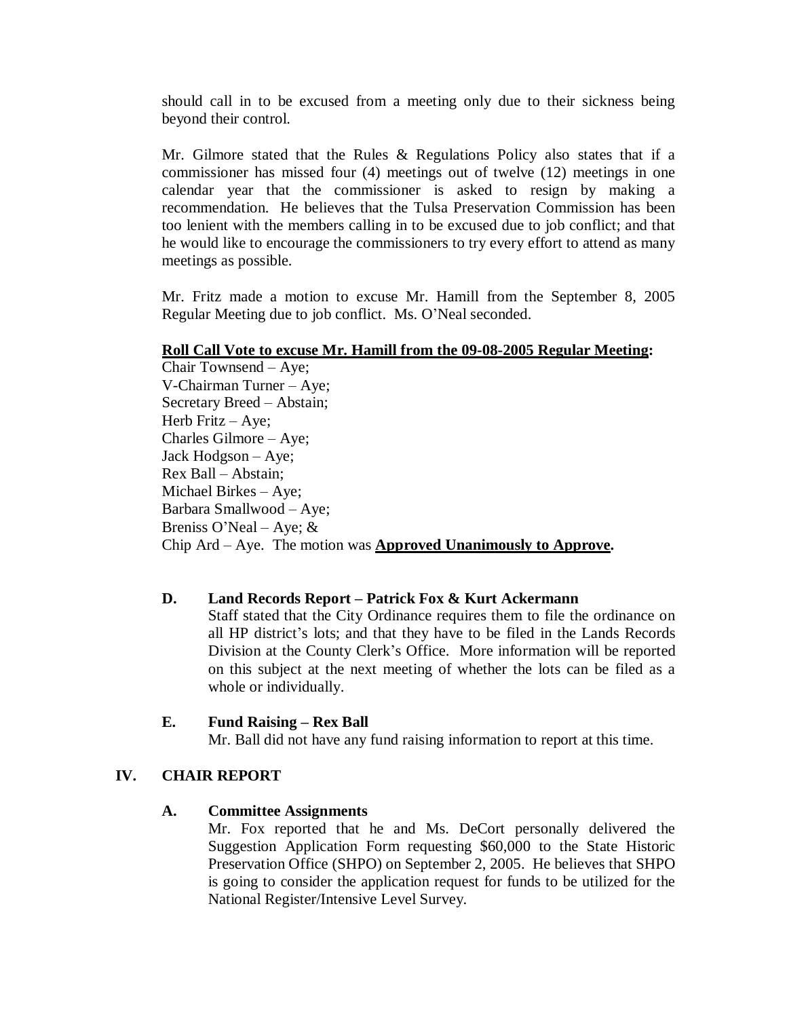should call in to be excused from a meeting only due to their sickness being beyond their control.

Mr. Gilmore stated that the Rules  $\&$  Regulations Policy also states that if a commissioner has missed four (4) meetings out of twelve (12) meetings in one calendar year that the commissioner is asked to resign by making a recommendation. He believes that the Tulsa Preservation Commission has been too lenient with the members calling in to be excused due to job conflict; and that he would like to encourage the commissioners to try every effort to attend as many meetings as possible.

Mr. Fritz made a motion to excuse Mr. Hamill from the September 8, 2005 Regular Meeting due to job conflict. Ms. O'Neal seconded.

#### **Roll Call Vote to excuse Mr. Hamill from the 09-08-2005 Regular Meeting:**

Chair Townsend – Aye; V-Chairman Turner – Aye; Secretary Breed – Abstain; Herb Fritz – Aye; Charles Gilmore – Aye; Jack Hodgson – Aye; Rex Ball – Abstain; Michael Birkes – Aye; Barbara Smallwood – Aye; Breniss O'Neal – Aye;  $&$ Chip Ard – Aye. The motion was **Approved Unanimously to Approve.**

#### **D. Land Records Report – Patrick Fox & Kurt Ackermann**

Staff stated that the City Ordinance requires them to file the ordinance on all HP district's lots; and that they have to be filed in the Lands Records Division at the County Clerk's Office. More information will be reported on this subject at the next meeting of whether the lots can be filed as a whole or individually.

#### **E. Fund Raising – Rex Ball**

Mr. Ball did not have any fund raising information to report at this time.

#### **IV. CHAIR REPORT**

#### **A. Committee Assignments**

Mr. Fox reported that he and Ms. DeCort personally delivered the Suggestion Application Form requesting \$60,000 to the State Historic Preservation Office (SHPO) on September 2, 2005. He believes that SHPO is going to consider the application request for funds to be utilized for the National Register/Intensive Level Survey.